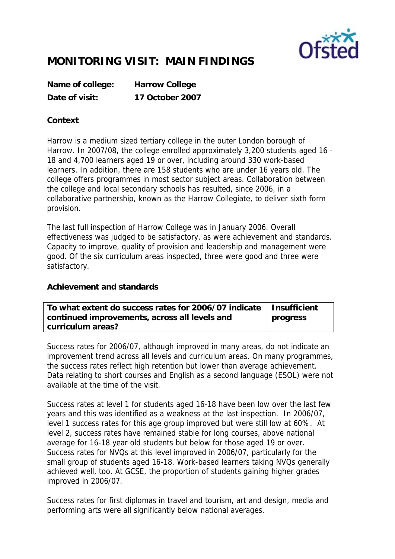

## **MONITORING VISIT: MAIN FINDINGS**

**Name of college: Harrow College Date of visit: 17 October 2007**

## **Context**

Harrow is a medium sized tertiary college in the outer London borough of Harrow. In 2007/08, the college enrolled approximately 3,200 students aged 16 - 18 and 4,700 learners aged 19 or over, including around 330 work-based learners. In addition, there are 158 students who are under 16 years old. The college offers programmes in most sector subject areas. Collaboration between the college and local secondary schools has resulted, since 2006, in a collaborative partnership, known as the Harrow Collegiate, to deliver sixth form provision.

The last full inspection of Harrow College was in January 2006. Overall effectiveness was judged to be satisfactory, as were achievement and standards. Capacity to improve, quality of provision and leadership and management were good. Of the six curriculum areas inspected, three were good and three were satisfactory.

**Achievement and standards** 

| To what extent do success rates for 2006/07 indicate   Insufficient |          |
|---------------------------------------------------------------------|----------|
| continued improvements, across all levels and                       | progress |
| curriculum areas?                                                   |          |

Success rates for 2006/07, although improved in many areas, do not indicate an improvement trend across all levels and curriculum areas. On many programmes, the success rates reflect high retention but lower than average achievement. Data relating to short courses and English as a second language (ESOL) were not available at the time of the visit.

Success rates at level 1 for students aged 16-18 have been low over the last few years and this was identified as a weakness at the last inspection. In 2006/07, level 1 success rates for this age group improved but were still low at 60%. At level 2, success rates have remained stable for long courses, above national average for 16-18 year old students but below for those aged 19 or over. Success rates for NVQs at this level improved in 2006/07, particularly for the small group of students aged 16-18. Work-based learners taking NVQs generally achieved well, too. At GCSE, the proportion of students gaining higher grades improved in 2006/07.

Success rates for first diplomas in travel and tourism, art and design, media and performing arts were all significantly below national averages.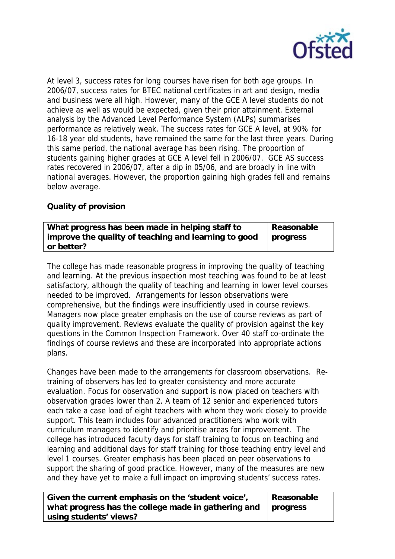

At level 3, success rates for long courses have risen for both age groups. In 2006/07, success rates for BTEC national certificates in art and design, media and business were all high. However, many of the GCE A level students do not achieve as well as would be expected, given their prior attainment. External analysis by the Advanced Level Performance System (ALPs) summarises performance as relatively weak. The success rates for GCE A level, at 90% for 16-18 year old students, have remained the same for the last three years. During this same period, the national average has been rising. The proportion of students gaining higher grades at GCE A level fell in 2006/07. GCE AS success rates recovered in 2006/07, after a dip in 05/06, and are broadly in line with national averages. However, the proportion gaining high grades fell and remains below average.

## **Quality of provision**

| What progress has been made in helping staff to      | Reasonable |
|------------------------------------------------------|------------|
| improve the quality of teaching and learning to good | progress   |
| or better?                                           |            |

The college has made reasonable progress in improving the quality of teaching and learning. At the previous inspection most teaching was found to be at least satisfactory, although the quality of teaching and learning in lower level courses needed to be improved. Arrangements for lesson observations were comprehensive, but the findings were insufficiently used in course reviews. Managers now place greater emphasis on the use of course reviews as part of quality improvement. Reviews evaluate the quality of provision against the key questions in the Common Inspection Framework. Over 40 staff co-ordinate the findings of course reviews and these are incorporated into appropriate actions plans.

Changes have been made to the arrangements for classroom observations. Retraining of observers has led to greater consistency and more accurate evaluation. Focus for observation and support is now placed on teachers with observation grades lower than 2. A team of 12 senior and experienced tutors each take a case load of eight teachers with whom they work closely to provide support. This team includes four advanced practitioners who work with curriculum managers to identify and prioritise areas for improvement. The college has introduced faculty days for staff training to focus on teaching and learning and additional days for staff training for those teaching entry level and level 1 courses. Greater emphasis has been placed on peer observations to support the sharing of good practice. However, many of the measures are new and they have yet to make a full impact on improving students' success rates.

| Given the current emphasis on the 'student voice',           | Reasonable |
|--------------------------------------------------------------|------------|
| what progress has the college made in gathering and progress |            |
| using students' views?                                       |            |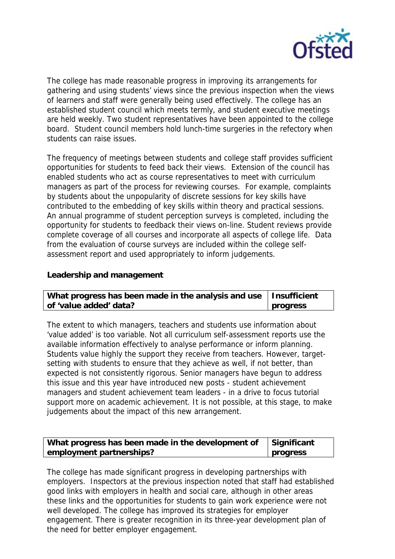

The college has made reasonable progress in improving its arrangements for gathering and using students' views since the previous inspection when the views of learners and staff were generally being used effectively. The college has an established student council which meets termly, and student executive meetings are held weekly. Two student representatives have been appointed to the college board. Student council members hold lunch-time surgeries in the refectory when students can raise issues.

The frequency of meetings between students and college staff provides sufficient opportunities for students to feed back their views. Extension of the council has enabled students who act as course representatives to meet with curriculum managers as part of the process for reviewing courses. For example, complaints by students about the unpopularity of discrete sessions for key skills have contributed to the embedding of key skills within theory and practical sessions. An annual programme of student perception surveys is completed, including the opportunity for students to feedback their views on-line. Student reviews provide complete coverage of all courses and incorporate all aspects of college life. Data from the evaluation of course surveys are included within the college selfassessment report and used appropriately to inform judgements.

**Leadership and management**

| What progress has been made in the analysis and use   Insufficient |          |
|--------------------------------------------------------------------|----------|
| of 'value added' data?                                             | progress |

The extent to which managers, teachers and students use information about 'value added' is too variable. Not all curriculum self-assessment reports use the available information effectively to analyse performance or inform planning. Students value highly the support they receive from teachers. However, targetsetting with students to ensure that they achieve as well, if not better, than expected is not consistently rigorous. Senior managers have begun to address this issue and this year have introduced new posts - student achievement managers and student achievement team leaders - in a drive to focus tutorial support more on academic achievement. It is not possible, at this stage, to make judgements about the impact of this new arrangement.

| What progress has been made in the development of $\int$ Significant |                 |
|----------------------------------------------------------------------|-----------------|
| employment partnerships?                                             | <b>progress</b> |

The college has made significant progress in developing partnerships with employers. Inspectors at the previous inspection noted that staff had established good links with employers in health and social care, although in other areas these links and the opportunities for students to gain work experience were not well developed. The college has improved its strategies for employer engagement. There is greater recognition in its three-year development plan of the need for better employer engagement.